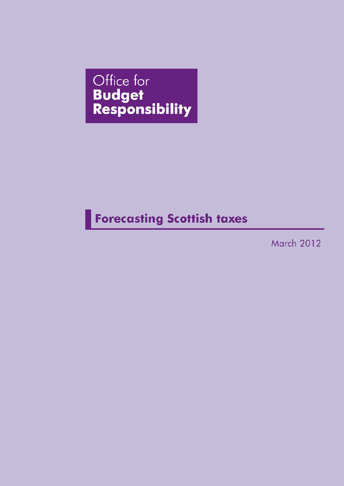Office for **Budget<br>Responsibility** 

# **Forecasting Scottish taxes**

March 2012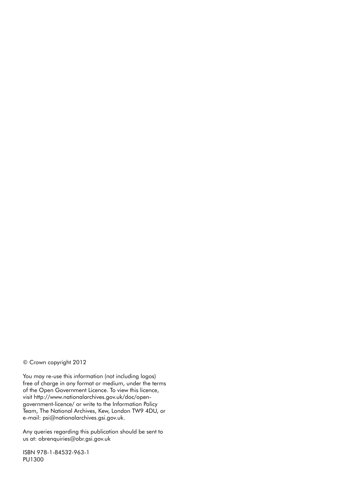© Crown copyright 2012

You may re-use this information (not including logos) free of charge in any format or medium, under the terms of the Open Government Licence. To view this licence, visit http://www.nationalarchives.gov.uk/doc/opengovernment-licence/ or write to the Information Policy Team, The National Archives, Kew, London TW9 4DU, or e-mail: psi@nationalarchives.gsi.gov.uk.

Any queries regarding this publication should be sent to us at: obrenquiries@obr.gsi.gov.uk

ISBN 978-1-84532-963-1 PU1300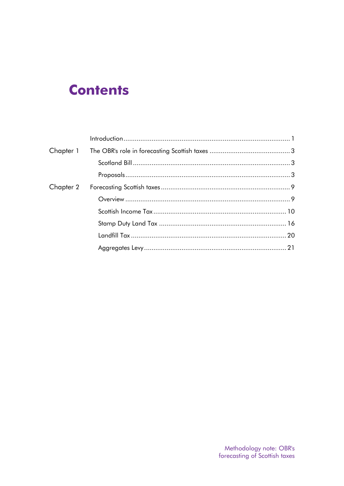# **Contents**

| Chapter 2 |  |
|-----------|--|
|           |  |
|           |  |
|           |  |
|           |  |
|           |  |
|           |  |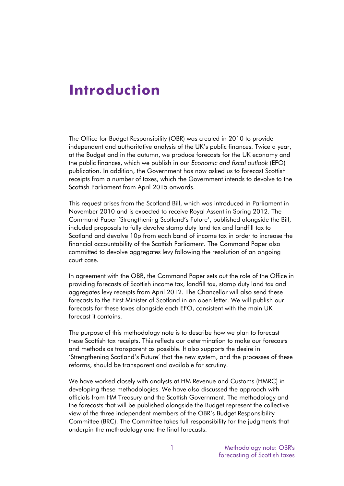# **Introduction**

The Office for Budget Responsibility (OBR) was created in 2010 to provide independent and authoritative analysis of the UK's public finances. Twice a year, at the Budget and in the autumn, we produce forecasts for the UK economy and the public finances, which we publish in our *Economic and fiscal outlook* (EFO) publication. In addition, the Government has now asked us to forecast Scottish receipts from a number of taxes, which the Government intends to devolve to the Scottish Parliament from April 2015 onwards.

This request arises from the Scotland Bill, which was introduced in Parliament in November 2010 and is expected to receive Royal Assent in Spring 2012. The Command Paper 'Strengthening Scotland's Future', published alongside the Bill, included proposals to fully devolve stamp duty land tax and landfill tax to Scotland and devolve 10p from each band of income tax in order to increase the financial accountability of the Scottish Parliament. The Command Paper also committed to devolve aggregates levy following the resolution of an ongoing court case.

In agreement with the OBR, the Command Paper sets out the role of the Office in providing forecasts of Scottish income tax, landfill tax, stamp duty land tax and aggregates levy receipts from April 2012. The Chancellor will also send these forecasts to the First Minister of Scotland in an open letter. We will publish our forecasts for these taxes alongside each EFO, consistent with the main UK forecast it contains.

The purpose of this methodology note is to describe how we plan to forecast these Scottish tax receipts. This reflects our determination to make our forecasts and methods as transparent as possible. It also supports the desire in 'Strengthening Scotland's Future' that the new system, and the processes of these reforms, should be transparent and available for scrutiny.

We have worked closely with analysts at HM Revenue and Customs (HMRC) in developing these methodologies. We have also discussed the approach with officials from HM Treasury and the Scottish Government. The methodology and the forecasts that will be published alongside the Budget represent the collective view of the three independent members of the OBR's Budget Responsibility Committee (BRC). The Committee takes full responsibility for the judgments that underpin the methodology and the final forecasts.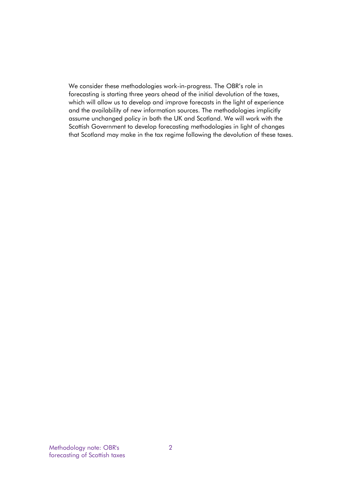We consider these methodologies work-in-progress. The OBR's role in forecasting is starting three years ahead of the initial devolution of the taxes, which will allow us to develop and improve forecasts in the light of experience and the availability of new information sources. The methodologies implicitly assume unchanged policy in both the UK and Scotland. We will work with the Scottish Government to develop forecasting methodologies in light of changes that Scotland may make in the tax regime following the devolution of these taxes.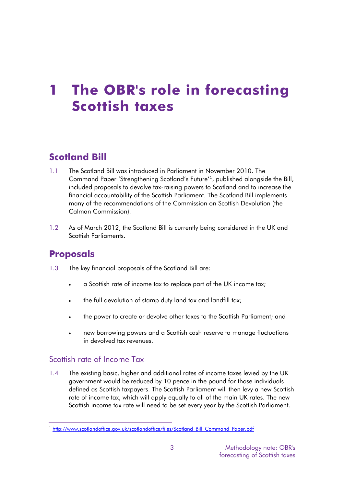# **1 The OBR's role in forecasting Scottish taxes**

# **Scotland Bill**

- 1.1 The Scotland Bill was introduced in Parliament in November 2010. The Command Paper 'Strengthening Scotland's Future'<sup>1</sup> , published alongside the Bill, included proposals to devolve tax-raising powers to Scotland and to increase the financial accountability of the Scottish Parliament. The Scotland Bill implements many of the recommendations of the Commission on Scottish Devolution (the Calman Commission).
- 1.2 As of March 2012, the Scotland Bill is currently being considered in the UK and Scottish Parliaments.

# **Proposals**

- 1.3 The key financial proposals of the Scotland Bill are:
	- a Scottish rate of income tax to replace part of the UK income tax;
	- . the full devolution of stamp duty land tax and landfill tax;
	- . the power to create or devolve other taxes to the Scottish Parliament; and
	- new borrowing powers and a Scottish cash reserve to manage fluctuations in devolved tax revenues.

# Scottish rate of Income Tax

1.4 The existing basic, higher and additional rates of income taxes levied by the UK government would be reduced by 10 pence in the pound for those individuals defined as Scottish taxpayers. The Scottish Parliament will then levy a new Scottish rate of income tax, which will apply equally to all of the main UK rates. The new Scottish income tax rate will need to be set every year by the Scottish Parliament.

<sup>1</sup> http://www.scotlandoffice.gov.uk/scotlandoffice/files/Scotland Bill Command Paper.pdf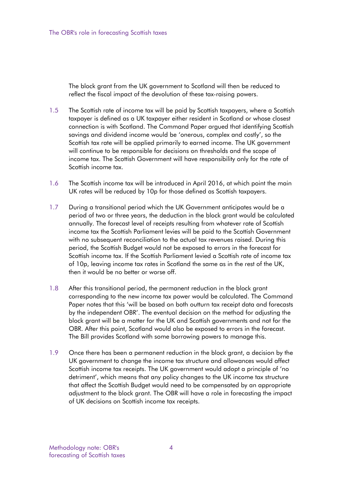The block grant from the UK government to Scotland will then be reduced to reflect the fiscal impact of the devolution of these tax-raising powers.

- 1.5 The Scottish rate of income tax will be paid by Scottish taxpayers, where a Scottish taxpayer is defined as a UK taxpayer either resident in Scotland or whose closest connection is with Scotland. The Command Paper argued that identifying Scottish savings and dividend income would be 'onerous, complex and costly', so the Scottish tax rate will be applied primarily to earned income. The UK government will continue to be responsible for decisions on thresholds and the scope of income tax. The Scottish Government will have responsibility only for the rate of Scottish income tax.
- 1.6 The Scottish income tax will be introduced in April 2016, at which point the main UK rates will be reduced by 10p for those defined as Scottish taxpayers.
- 1.7 During a transitional period which the UK Government anticipates would be a period of two or three years, the deduction in the block grant would be calculated annually. The forecast level of receipts resulting from whatever rate of Scottish income tax the Scottish Parliament levies will be paid to the Scottish Government with no subsequent reconciliation to the actual tax revenues raised. During this period, the Scottish Budget would not be exposed to errors in the forecast for Scottish income tax. If the Scottish Parliament levied a Scottish rate of income tax of 10p, leaving income tax rates in Scotland the same as in the rest of the UK, then it would be no better or worse off.
- 1.8 After this transitional period, the permanent reduction in the block grant corresponding to the new income tax power would be calculated. The Command Paper notes that this 'will be based on both outturn tax receipt data and forecasts by the independent OBR'. The eventual decision on the method for adjusting the block grant will be a matter for the UK and Scottish governments and not for the OBR. After this point, Scotland would also be exposed to errors in the forecast. The Bill provides Scotland with some borrowing powers to manage this.
- 1.9 Once there has been a permanent reduction in the block grant, a decision by the UK government to change the income tax structure and allowances would affect Scottish income tax receipts. The UK government would adopt a principle of 'no detriment', which means that any policy changes to the UK income tax structure that affect the Scottish Budget would need to be compensated by an appropriate adjustment to the block grant. The OBR will have a role in forecasting the impact of UK decisions on Scottish income tax receipts.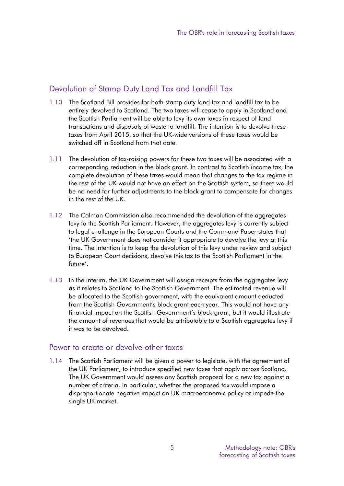# Devolution of Stamp Duty Land Tax and Landfill Tax

- 1.10 The Scotland Bill provides for both stamp duty land tax and landfill tax to be entirely devolved to Scotland. The two taxes will cease to apply in Scotland and the Scottish Parliament will be able to levy its own taxes in respect of land transactions and disposals of waste to landfill. The intention is to devolve these taxes from April 2015, so that the UK-wide versions of these taxes would be switched off in Scotland from that date.
- 1.11 The devolution of tax-raising powers for these two taxes will be associated with a corresponding reduction in the block grant. In contrast to Scottish income tax, the complete devolution of these taxes would mean that changes to the tax regime in the rest of the UK would not have an effect on the Scottish system, so there would be no need for further adjustments to the block grant to compensate for changes in the rest of the UK.
- 1.12 The Calman Commission also recommended the devolution of the aggregates levy to the Scottish Parliament. However, the aggregates levy is currently subject to legal challenge in the European Courts and the Command Paper states that 'the UK Government does not consider it appropriate to devolve the levy at this time. The intention is to keep the devolution of this levy under review and subject to European Court decisions, devolve this tax to the Scottish Parliament in the future'.
- 1.13 In the interim, the UK Government will assign receipts from the aggregates levy as it relates to Scotland to the Scottish Government. The estimated revenue will be allocated to the Scottish government, with the equivalent amount deducted from the Scottish Government's block grant each year. This would not have any financial impact on the Scottish Government's block grant, but it would illustrate the amount of revenues that would be attributable to a Scottish aggregates levy if it was to be devolved.

### Power to create or devolve other taxes

1.14 The Scottish Parliament will be given a power to legislate, with the agreement of the UK Parliament, to introduce specified new taxes that apply across Scotland. The UK Government would assess any Scottish proposal for a new tax against a number of criteria. In particular, whether the proposed tax would impose a disproportionate negative impact on UK macroeconomic policy or impede the single UK market.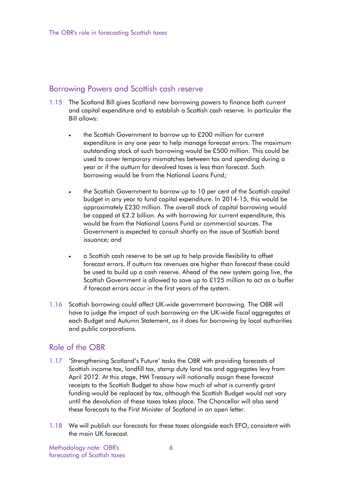## Borrowing Powers and Scottish cash reserve

- 1.15 The Scotland Bill gives Scotland new borrowing powers to finance both current and capital expenditure and to establish a Scottish cash reserve. In particular the Bill allows:
	- the Scottish Government to borrow up to £200 million for current expenditure in any one year to help manage forecast errors. The maximum outstanding stock of such borrowing would be £500 million. This could be used to cover temporary mismatches between tax and spending during a year or if the outturn for devolved taxes is less than forecast. Such borrowing would be from the National Loans Fund;
	- the Scottish Government to borrow up to 10 per cent of the Scottish capital budget in any year to fund capital expenditure. In 2014-15, this would be approximately £230 million. The overall stock of capital borrowing would be capped at £2.2 billion. As with borrowing for current expenditure, this would be from the National Loans Fund or commercial sources. The Government is expected to consult shortly on the issue of Scottish bond issuance; and
	- a Scottish cash reserve to be set up to help provide flexibility to offset forecast errors. If outturn tax revenues are higher than forecast these could be used to build up a cash reserve. Ahead of the new system going live, the Scottish Government is allowed to save up to £125 million to act as a buffer if forecast errors occur in the first years of the system.
- 1.16 Scottish borrowing could affect UK-wide government borrowing. The OBR will have to judge the impact of such borrowing on the UK-wide fiscal aggregates at each Budget and Autumn Statement, as it does for borrowing by local authorities and public corporations.

### Role of the OBR

- 1.17 'Strengthening Scotland's Future' tasks the OBR with providing forecasts of Scottish income tax, landfill tax, stamp duty land tax and aggregates levy from April 2012. At this stage, HM Treasury will notionally assign these forecast receipts to the Scottish Budget to show how much of what is currently grant funding would be replaced by tax, although the Scottish Budget would not vary until the devolution of these taxes takes place. The Chancellor will also send these forecasts to the First Minister of Scotland in an open letter.
- 1.18 We will publish our forecasts for these taxes alongside each EFO, consistent with the main UK forecast.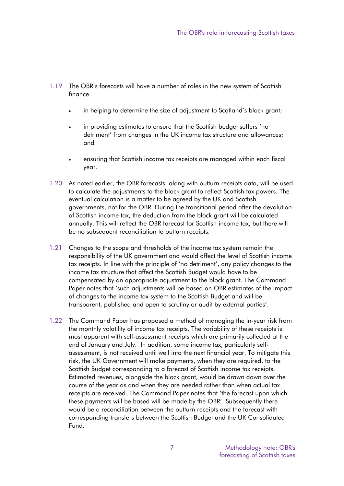- 1.19 The OBR's forecasts will have a number of roles in the new system of Scottish finance:
	- in helping to determine the size of adjustment to Scotland's block grant;
	- in providing estimates to ensure that the Scottish budget suffers 'no detriment' from changes in the UK income tax structure and allowances; and
	- ensuring that Scottish income tax receipts are managed within each fiscal year.
- 1.20 As noted earlier, the OBR forecasts, along with outturn receipts data, will be used to calculate the adjustments to the block grant to reflect Scottish tax powers. The eventual calculation is a matter to be agreed by the UK and Scottish governments, not for the OBR. During the transitional period after the devolution of Scottish income tax, the deduction from the block grant will be calculated annually. This will reflect the OBR forecast for Scottish income tax, but there will be no subsequent reconciliation to outturn receipts.
- 1.21 Changes to the scope and thresholds of the income tax system remain the responsibility of the UK government and would affect the level of Scottish income tax receipts. In line with the principle of 'no detriment', any policy changes to the income tax structure that affect the Scottish Budget would have to be compensated by an appropriate adjustment to the block grant. The Command Paper notes that 'such adjustments will be based on OBR estimates of the impact of changes to the income tax system to the Scottish Budget and will be transparent, published and open to scrutiny or audit by external parties'.
- 1.22 The Command Paper has proposed a method of managing the in-year risk from the monthly volatility of income tax receipts. The variability of these receipts is most apparent with self-assessment receipts which are primarily collected at the end of January and July. In addition, some income tax, particularly selfassessment, is not received until well into the next financial year. To mitigate this risk, the UK Government will make payments, when they are required, to the Scottish Budget corresponding to a forecast of Scottish income tax receipts. Estimated revenues, alongside the block grant, would be drawn down over the course of the year as and when they are needed rather than when actual tax receipts are received. The Command Paper notes that 'the forecast upon which these payments will be based will be made by the OBR'. Subsequently there would be a reconciliation between the outturn receipts and the forecast with corresponding transfers between the Scottish Budget and the UK Consolidated Fund.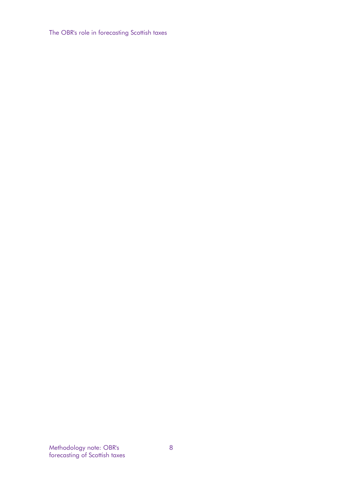The OBR's role in forecasting Scottish taxes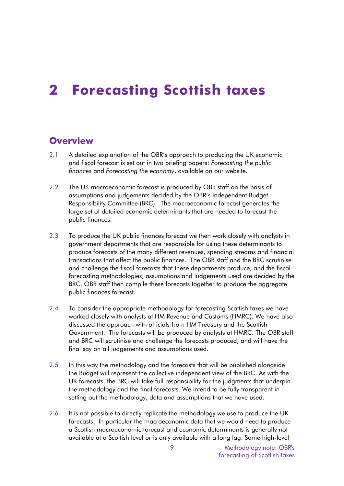# **2 Forecasting Scottish taxes**

# **Overview**

- 2.1 A detailed explanation of the OBR's approach to producing the UK economic and fiscal forecast is set out in two briefing papers: *Forecasting the public finances* and *Forecasting the economy*, available on our website.
- 2.2 The UK macroeconomic forecast is produced by OBR staff on the basis of assumptions and judgements decided by the OBR's independent Budget Responsibility Committee (BRC). The macroeconomic forecast generates the large set of detailed economic determinants that are needed to forecast the public finances.
- 2.3 To produce the UK public finances forecast we then work closely with analysts in government departments that are responsible for using these determinants to produce forecasts of the many different revenues, spending streams and financial transactions that affect the public finances. The OBR staff and the BRC scrutinise and challenge the fiscal forecasts that these departments produce, and the fiscal forecasting methodologies, assumptions and judgements used are decided by the BRC. OBR staff then compile these forecasts together to produce the aggregate public finances forecast.
- 2.4 To consider the appropriate methodology for forecasting Scottish taxes we have worked closely with analysts at HM Revenue and Customs (HMRC). We have also discussed the approach with officials from HM Treasury and the Scottish Government. The forecasts will be produced by analysts at HMRC. The OBR staff and BRC will scrutinise and challenge the forecasts produced, and will have the final say on all judgements and assumptions used.
- 2.5 In this way the methodology and the forecasts that will be published alongside the Budget will represent the collective independent view of the BRC. As with the UK forecasts, the BRC will take full responsibility for the judgments that underpin the methodology and the final forecasts. We intend to be fully transparent in setting out the methodology, data and assumptions that we have used.
- 2.6 It is not possible to directly replicate the methodology we use to produce the UK forecasts. In particular the macroeconomic data that we would need to produce a Scottish macroeconomic forecast and economic determinants is generally not available at a Scottish level or is only available with a long lag. Some high-level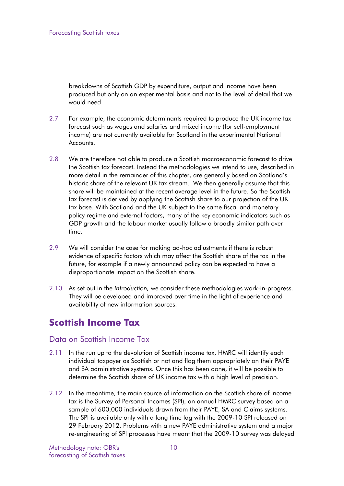breakdowns of Scottish GDP by expenditure, output and income have been produced but only on an experimental basis and not to the level of detail that we would need.

- 2.7 For example, the economic determinants required to produce the UK income tax forecast such as wages and salaries and mixed income (for self-employment income) are not currently available for Scotland in the experimental National Accounts.
- 2.8 We are therefore not able to produce a Scottish macroeconomic forecast to drive the Scottish tax forecast. Instead the methodologies we intend to use, described in more detail in the remainder of this chapter, are generally based on Scotland's historic share of the relevant UK tax stream. We then generally assume that this share will be maintained at the recent average level in the future. So the Scottish tax forecast is derived by applying the Scottish share to our projection of the UK tax base. With Scotland and the UK subject to the same fiscal and monetary policy regime and external factors, many of the key economic indicators such as GDP growth and the labour market usually follow a broadly similar path over time.
- 2.9 We will consider the case for making ad-hoc adjustments if there is robust evidence of specific factors which may affect the Scottish share of the tax in the future, for example if a newly announced policy can be expected to have a disproportionate impact on the Scottish share.
- 2.10 As set out in the *Introduction,* we consider these methodologies work-in-progress. They will be developed and improved over time in the light of experience and availability of new information sources.

# **Scottish Income Tax**

### Data on Scottish Income Tax

- 2.11 In the run up to the devolution of Scottish income tax, HMRC will identify each individual taxpayer as Scottish or not and flag them appropriately on their PAYE and SA administrative systems. Once this has been done, it will be possible to determine the Scottish share of UK income tax with a high level of precision.
- 2.12 In the meantime, the main source of information on the Scottish share of income tax is the Survey of Personal Incomes (SPI), an annual HMRC survey based on a sample of 600,000 individuals drawn from their PAYE, SA and Claims systems. The SPI is available only with a long time lag with the 2009-10 SPI released on 29 February 2012. Problems with a new PAYE administrative system and a major re-engineering of SPI processes have meant that the 2009-10 survey was delayed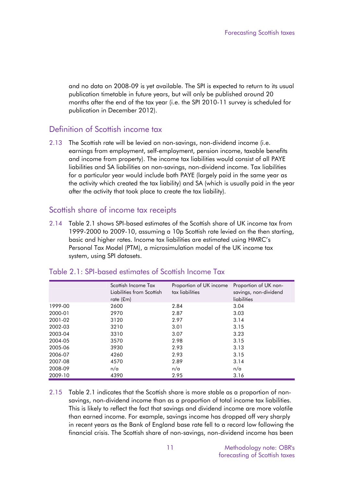and no data on 2008-09 is yet available. The SPI is expected to return to its usual publication timetable in future years, but will only be published around 20 months after the end of the tax year (i.e. the SPI 2010-11 survey is scheduled for publication in December 2012).

## Definition of Scottish income tax

2.13 The Scottish rate will be levied on non-savings, non-dividend income (i.e. earnings from employment, self-employment, pension income, taxable benefits and income from property). The income tax liabilities would consist of all PAYE liabilities and SA liabilities on non-savings, non-dividend income. Tax liabilities for a particular year would include both PAYE (largely paid in the same year as the activity which created the tax liability) and SA (which is usually paid in the year after the activity that took place to create the tax liability).

#### Scottish share of income tax receipts

2.14 Table 2.1 shows SPI-based estimates of the Scottish share of UK income tax from 1999-2000 to 2009-10, assuming a 10p Scottish rate levied on the then starting, basic and higher rates. Income tax liabilities are estimated using HMRC's Personal Tax Model (PTM), a microsimulation model of the UK income tax system, using SPI datasets.

|         | Scottish Income Tax<br>Liabilities from Scottish<br>rate $(\text{Em})$ | Proportion of UK income<br>tax liabilities | Proportion of UK non-<br>savings, non-dividend<br>liabilities |
|---------|------------------------------------------------------------------------|--------------------------------------------|---------------------------------------------------------------|
| 1999-00 | 2600                                                                   | 2.84                                       | 3.04                                                          |
| 2000-01 | 2970                                                                   | 2.87                                       | 3.03                                                          |
| 2001-02 | 3120                                                                   | 2.97                                       | 3.14                                                          |
| 2002-03 | 3210                                                                   | 3.01                                       | 3.15                                                          |
| 2003-04 | 3310                                                                   | 3.07                                       | 3.23                                                          |
| 2004-05 | 3570                                                                   | 2.98                                       | 3.15                                                          |
| 2005-06 | 3930                                                                   | 2.93                                       | 3.13                                                          |
| 2006-07 | 4260                                                                   | 2.93                                       | 3.15                                                          |
| 2007-08 | 4570                                                                   | 2.89                                       | 3.14                                                          |
| 2008-09 | n/a                                                                    | n/a                                        | n/a                                                           |
| 2009-10 | 4390                                                                   | 2.95                                       | 3.16                                                          |

#### Table 2.1: SPI-based estimates of Scottish Income Tax

2.15 Table 2.1 indicates that the Scottish share is more stable as a proportion of nonsavings, non-dividend income than as a proportion of total income tax liabilities. This is likely to reflect the fact that savings and dividend income are more volatile than earned income. For example, savings income has dropped off very sharply in recent years as the Bank of England base rate fell to a record low following the financial crisis. The Scottish share of non-savings, non-dividend income has been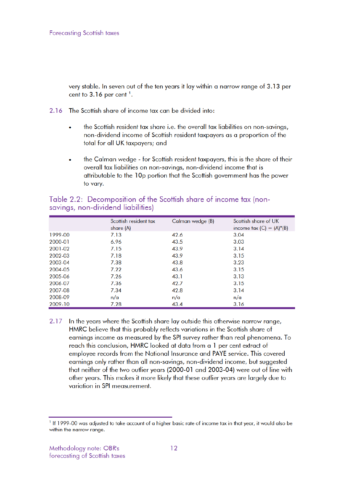very stable. In seven out of the ten years it lay within a narrow range of 3.13 per cent to  $3.16$  per cent<sup>1</sup>.

- 2.16 The Scottish share of income tax can be divided into:
	- the Scottish resident tax share i.e. the overall tax liabilities on non-savings, non-dividend income of Scottish resident taxpayers as a proportion of the total for all UK taxpayers; and
	- the Calman wedge for Scottish resident taxpayers, this is the share of their overall tax liabilities on non-savings, non-dividend income that is attributable to the 10p portion that the Scottish government has the power to vary.

#### Table 2.2: Decomposition of the Scottish share of income tax (nonsavings, non-dividend liabilities)

|         | Scottish resident tax<br>share (A) | Calman wedge (B) | Scottish share of UK<br>income tax $(C) = (A)^*(B)$ |
|---------|------------------------------------|------------------|-----------------------------------------------------|
| 1999-00 | 7.13                               | 42.6             | 3.04                                                |
| 2000-01 | 6.96                               | 43.5             | 3.03                                                |
| 2001-02 | 7.15                               | 43.9             | 3.14                                                |
| 2002-03 | 7.18                               | 43.9             | 3.15                                                |
| 2003-04 | 7.38                               | 43.8             | 3.23                                                |
| 2004-05 | 7.22                               | 43.6             | 3.15                                                |
| 2005-06 | 7.26                               | 43.1             | 3.13                                                |
| 2006-07 | 7.36                               | 42.7             | 3.15                                                |
| 2007-08 | 7.34                               | 42.8             | 3.14                                                |
| 2008-09 | n/a                                | n/a              | n/a                                                 |
| 2009-10 | 7.28                               | 43.4             | 3.16                                                |

2.17 In the years where the Scottish share lay outside this otherwise narrow range, HMRC believe that this probably reflects variations in the Scottish share of earnings income as measured by the SPI survey rather than real phenomena. To reach this conclusion, HMRC looked at data from a 1 per cent extract of employee records from the National Insurance and PAYE service. This covered earnings only rather than all non-savings, non-dividend income, but suggested that neither of the two outlier years (2000-01 and 2003-04) were out of line with other years. This makes it more likely that these outlier years are largely due to variation in SPI measurement.

<sup>&</sup>lt;sup>1</sup> If 1999-00 was adjusted to take account of a higher basic rate of income tax in that year, it would also be within the narrow range.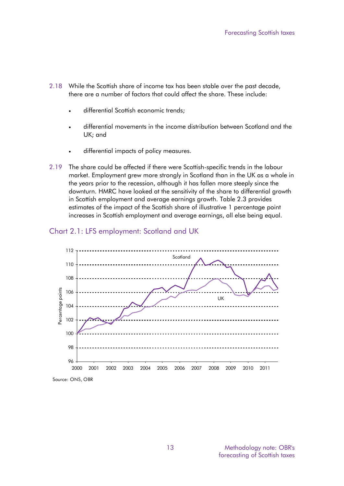- 2.18 While the Scottish share of income tax has been stable over the past decade, there are a number of factors that could affect the share. These include:
	- differential Scottish economic trends;
	- differential movements in the income distribution between Scotland and the UK; and
	- differential impacts of policy measures.
- 2.19 The share could be affected if there were Scottish-specific trends in the labour market. Employment grew more strongly in Scotland than in the UK as a whole in the years prior to the recession, although it has fallen more steeply since the downturn. HMRC have looked at the sensitivity of the share to differential growth in Scottish employment and average earnings growth. Table 2.3 provides estimates of the impact of the Scottish share of illustrative 1 percentage point increases in Scottish employment and average earnings, all else being equal.

#### Chart 2.1: LFS employment: Scotland and UK

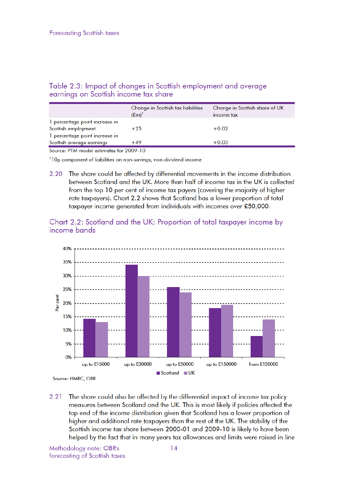|                                                       | Change in Scottish tax liabilities<br>$(Em)^1$ | Change in Scottish share of UK<br>income tax |
|-------------------------------------------------------|------------------------------------------------|----------------------------------------------|
| 1 percentage point increase in<br>Scottish employment | $+25$                                          | $+0.02$                                      |
| 1 percentage point increase in                        |                                                |                                              |
| Scottish average earnings                             | $+49$                                          | $+0.03$                                      |
| DTA 4<br>.                                            | 000030                                         |                                              |

## Table 2.3: Impact of changes in Scottish employment and average earnings on Scottish income tax share

Source: PTM model estimates for 2009-10

<sup>1</sup>10p component of liabilities on non-savings, non-dividend income

2.20 The share could be affected by differential movements in the income distribution between Scotland and the UK. More than half of income tax in the UK is collected from the top 10 per cent of income tax payers (covering the majority of higher rate taxpayers). Chart 2.2 shows that Scotland has a lower proportion of total taxpayer income generated from individuals with incomes over £50,000.

Chart 2.2: Scotland and the UK: Proportion of total taxpayer income by income bands



Source: HMRC, OBR

 $2.21$ The share could also be affected by the differential impact of income tax policy measures between Scotland and the UK. This is most likely if policies affected the top end of the income distribution given that Scotland has a lower proportion of higher and additional rate taxpayers than the rest of the UK. The stability of the Scottish income tax share between 2000-01 and 2009-10 is likely to have been helped by the fact that in many years tax allowances and limits were raised in line

Methodology note: OBR's forecasting of Scottish taxes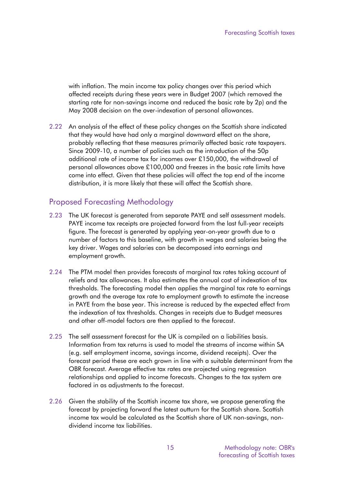with inflation. The main income tax policy changes over this period which affected receipts during these years were in Budget 2007 (which removed the starting rate for non-savings income and reduced the basic rate by 2p) and the May 2008 decision on the over-indexation of personal allowances.

2.22 An analysis of the effect of these policy changes on the Scottish share indicated that they would have had only a marginal downward effect on the share, probably reflecting that these measures primarily affected basic rate taxpayers. Since 2009-10, a number of policies such as the introduction of the 50p additional rate of income tax for incomes over £150,000, the withdrawal of personal allowances above £100,000 and freezes in the basic rate limits have come into effect. Given that these policies will affect the top end of the income distribution, it is more likely that these will affect the Scottish share.

## Proposed Forecasting Methodology

- 2.23 The UK forecast is generated from separate PAYE and self assessment models. PAYE income tax receipts are projected forward from the last full-year receipts figure. The forecast is generated by applying year-on-year growth due to a number of factors to this baseline, with growth in wages and salaries being the key driver. Wages and salaries can be decomposed into earnings and employment growth.
- 2.24 The PTM model then provides forecasts of marginal tax rates taking account of reliefs and tax allowances. It also estimates the annual cost of indexation of tax thresholds. The forecasting model then applies the marginal tax rate to earnings growth and the average tax rate to employment growth to estimate the increase in PAYE from the base year. This increase is reduced by the expected effect from the indexation of tax thresholds. Changes in receipts due to Budget measures and other off-model factors are then applied to the forecast.
- 2.25 The self assessment forecast for the UK is compiled on a liabilities basis. Information from tax returns is used to model the streams of income within SA (e.g. self employment income, savings income, dividend receipts). Over the forecast period these are each grown in line with a suitable determinant from the OBR forecast. Average effective tax rates are projected using regression relationships and applied to income forecasts. Changes to the tax system are factored in as adjustments to the forecast.
- 2.26 Given the stability of the Scottish income tax share, we propose generating the forecast by projecting forward the latest outturn for the Scottish share. Scottish income tax would be calculated as the Scottish share of UK non-savings, nondividend income tax liabilities.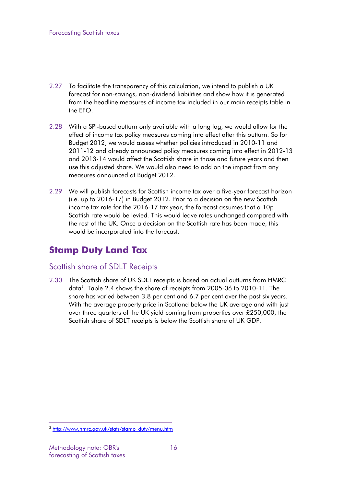- 2.27 To facilitate the transparency of this calculation, we intend to publish a UK forecast for non-savings, non-dividend liabilities and show how it is generated from the headline measures of income tax included in our main receipts table in the EFO.
- 2.28 With a SPI-based outturn only available with a long lag, we would allow for the effect of income tax policy measures coming into effect after this outturn. So for Budget 2012, we would assess whether policies introduced in 2010-11 and 2011-12 and already announced policy measures coming into effect in 2012-13 and 2013-14 would affect the Scottish share in those and future years and then use this adjusted share. We would also need to add on the impact from any measures announced at Budget 2012.
- 2.29 We will publish forecasts for Scottish income tax over a five-year forecast horizon (i.e. up to 2016-17) in Budget 2012. Prior to a decision on the new Scottish income tax rate for the 2016-17 tax year, the forecast assumes that a 10p Scottish rate would be levied. This would leave rates unchanged compared with the rest of the UK. Once a decision on the Scottish rate has been made, this would be incorporated into the forecast.

# **Stamp Duty Land Tax**

## Scottish share of SDLT Receipts

2.30 The Scottish share of UK SDLT receipts is based on actual outturns from HMRC data<sup>2</sup>. Table 2.4 shows the share of receipts from 2005-06 to 2010-11. The share has varied between 3.8 per cent and 6.7 per cent over the past six years. With the average property price in Scotland below the UK average and with just over three quarters of the UK yield coming from properties over £250,000, the Scottish share of SDLT receipts is below the Scottish share of UK GDP.

<sup>2</sup> http://www.hmrc.gov.uk/stats/stamp duty/menu.htm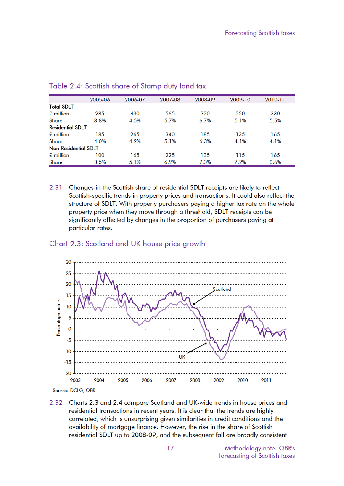|                             | 2005-06 | 2006-07 | 2007-08 | 2008-09 | 2009-10 | 2010-11 |
|-----------------------------|---------|---------|---------|---------|---------|---------|
| <b>Total SDLT</b>           |         |         |         |         |         |         |
| $£$ million                 | 285     | 430     | 565     | 320     | 250     | 330     |
| Share                       | 3.8%    | 4.5%    | 5.7%    | 6.7%    | 5.1%    | 5.5%    |
| <b>Residential SDLT</b>     |         |         |         |         |         |         |
| $E$ million                 | 185     | 265     | 340     | 185     | 135     | 165     |
| Share                       | 4.0%    | 4.2%    | 5.1%    | 6.3%    | 4.1%    | 4.1%    |
| <b>Non-Residential SDLT</b> |         |         |         |         |         |         |
| $E$ million                 | 100     | 165     | 225     | 135     | 115     | 165     |
| Share                       | 3.5%    | 5.1%    | $6.9\%$ | 7.3%    | 7.2%    | 8.6%    |

#### Table 2.4: Scottish share of Stamp duty land tax

2.31 Changes in the Scottish share of residential SDLT receipts are likely to reflect Scottish-specific trends in property prices and transactions. It could also reflect the structure of SDLT. With property purchasers paying a higher tax rate on the whole property price when they move through a threshold, SDLT receipts can be significantly affected by changes in the proportion of purchasers paying at particular rates.

#### Chart 2.3: Scotland and UK house price growth



Charts 2.3 and 2.4 compare Scotland and UK-wide trends in house prices and 2.32 residential transactions in recent years. It is clear that the trends are highly correlated, which is unsurprising given similarities in credit conditions and the availability of mortgage finance. However, the rise in the share of Scottish residential SDLT up to 2008-09, and the subsequent fall are broadly consistent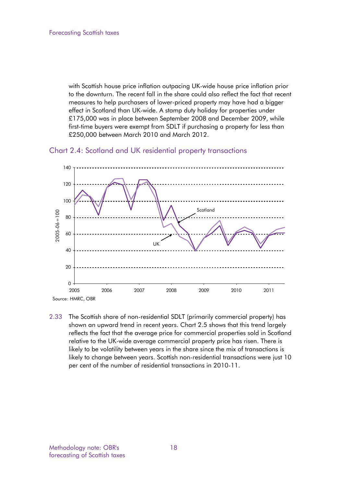with Scottish house price inflation outpacing UK-wide house price inflation prior to the downturn. The recent fall in the share could also reflect the fact that recent measures to help purchasers of lower-priced property may have had a bigger effect in Scotland than UK-wide. A stamp duty holiday for properties under £175,000 was in place between September 2008 and December 2009, while first-time buyers were exempt from SDLT if purchasing a property for less than £250,000 between March 2010 and March 2012.

Chart 2.4: Scotland and UK residential property transactions



2.33 The Scottish share of non-residential SDLT (primarily commercial property) has shown an upward trend in recent years. Chart 2.5 shows that this trend largely reflects the fact that the average price for commercial properties sold in Scotland relative to the UK-wide average commercial property price has risen. There is likely to be volatility between years in the share since the mix of transactions is likely to change between years. Scottish non-residential transactions were just 10 per cent of the number of residential transactions in 2010-11.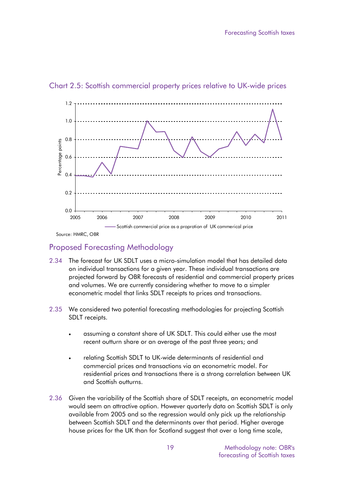

Chart 2.5: Scottish commercial property prices relative to UK-wide prices

Source: HMRC, OBR

### Proposed Forecasting Methodology

- 2.34 The forecast for UK SDLT uses a micro-simulation model that has detailed data on individual transactions for a given year. These individual transactions are projected forward by OBR forecasts of residential and commercial property prices and volumes. We are currently considering whether to move to a simpler econometric model that links SDLT receipts to prices and transactions.
- 2.35 We considered two potential forecasting methodologies for projecting Scottish SDLT receipts.
	- assuming a constant share of UK SDLT. This could either use the most recent outturn share or an average of the past three years; and
	- relating Scottish SDLT to UK-wide determinants of residential and commercial prices and transactions via an econometric model. For residential prices and transactions there is a strong correlation between UK and Scottish outturns.
- 2.36 Given the variability of the Scottish share of SDLT receipts, an econometric model would seem an attractive option. However quarterly data on Scottish SDLT is only available from 2005 and so the regression would only pick up the relationship between Scottish SDLT and the determinants over that period. Higher average house prices for the UK than for Scotland suggest that over a long time scale,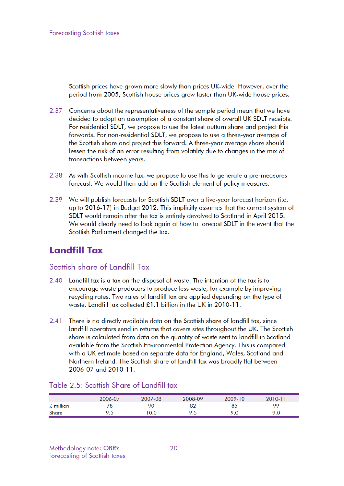Scottish prices have grown more slowly than prices UK-wide. However, over the period from 2005, Scottish house prices grew faster than UK-wide house prices.

- 2.37 Concerns about the representativeness of the sample period mean that we have decided to adopt an assumption of a constant share of overall UK SDLT receipts. For residential SDLT, we propose to use the latest outturn share and project this forwards. For non-residential SDLT, we propose to use a three-year average of the Scottish share and project this forward. A three-year average share should lessen the risk of an error resulting from volatility due to changes in the mix of transactions between years.
- As with Scottish income tax, we propose to use this to generate a pre-measures 2.38 forecast. We would then add on the Scottish element of policy measures.
- 2.39 We will publish forecasts for Scottish SDLT over a five-vear forecast horizon (i.e. up to 2016-17) in Budget 2012. This implicitly assumes that the current system of SDLT would remain after the tax is entirely devolved to Scotland in April 2015. We would clearly need to look again at how to forecast SDLT in the event that the Scottish Parliament changed the tax.

# **Landfill Tax**

### Scottish share of Landfill Tax

- 2.40 Landfill tax is a tax on the disposal of waste. The intention of the tax is to encourage waste producers to produce less waste, for example by improving recycling rates. Two rates of landfill tax are applied depending on the type of waste. Landfill tax collected £1.1 billion in the UK in 2010-11.
- $2.41$ There is no directly available data on the Scottish share of landfill tax, since landfill operators send in returns that covers sites throughout the UK. The Scottish share is calculated from data on the quantity of waste sent to landfill in Scotland available from the Scottish Environmental Protection Agency. This is compared with a UK estimate based on separate data for England, Wales, Scotland and Northern Ireland. The Scottish share of landfill tax was broadly flat between 2006-07 and 2010-11.

| 2006-07<br>2007-08      | 2008-09 | 2009-10 | 2010-11 |
|-------------------------|---------|---------|---------|
|                         |         |         |         |
| $£$ million<br>90<br>78 |         | 85      | 99      |
| Share<br>9.5<br>0.0     | 9.5     | 9.0     | 9.0     |

#### Table 2.5: Scottish Share of Landfill tax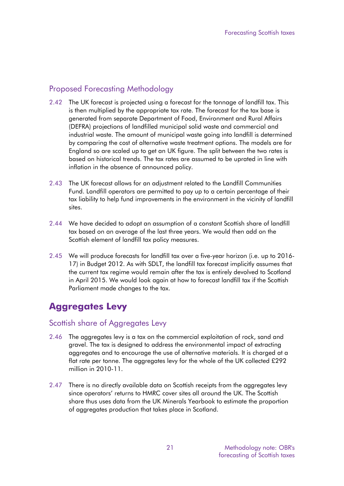# Proposed Forecasting Methodology

- 2.42 The UK forecast is projected using a forecast for the tonnage of landfill tax. This is then multiplied by the appropriate tax rate. The forecast for the tax base is generated from separate Department of Food, Environment and Rural Affairs (DEFRA) projections of landfilled municipal solid waste and commercial and industrial waste. The amount of municipal waste going into landfill is determined by comparing the cost of alternative waste treatment options. The models are for England so are scaled up to get an UK figure. The split between the two rates is based on historical trends. The tax rates are assumed to be uprated in line with inflation in the absence of announced policy.
- 2.43 The UK forecast allows for an adjustment related to the Landfill Communities Fund. Landfill operators are permitted to pay up to a certain percentage of their tax liability to help fund improvements in the environment in the vicinity of landfill sites.
- 2.44 We have decided to adopt an assumption of a constant Scottish share of landfill tax based on an average of the last three years. We would then add on the Scottish element of landfill tax policy measures.
- 2.45 We will produce forecasts for landfill tax over a five-year horizon (i.e. up to 2016- 17) in Budget 2012. As with SDLT, the landfill tax forecast implicitly assumes that the current tax regime would remain after the tax is entirely devolved to Scotland in April 2015. We would look again at how to forecast landfill tax if the Scottish Parliament made changes to the tax.

# **Aggregates Levy**

## Scottish share of Aggregates Levy

- 2.46 The aggregates levy is a tax on the commercial exploitation of rock, sand and gravel. The tax is designed to address the environmental impact of extracting aggregates and to encourage the use of alternative materials. It is charged at a flat rate per tonne. The aggregates levy for the whole of the UK collected £292 million in 2010-11.
- 2.47 There is no directly available data on Scottish receipts from the aggregates levy since operators' returns to HMRC cover sites all around the UK. The Scottish share thus uses data from the UK Minerals Yearbook to estimate the proportion of aggregates production that takes place in Scotland.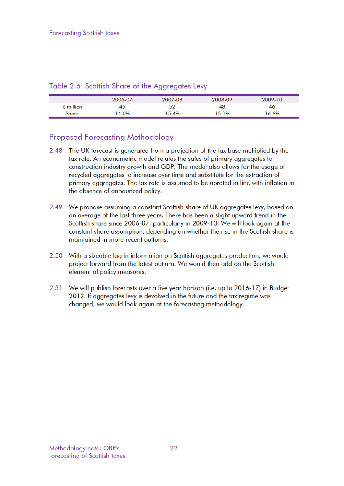|                            | 2006-07 | 2007-08 | 2008-09 | 2009-10 |
|----------------------------|---------|---------|---------|---------|
| $\mathbf{\pounds}$ million | 45      | 52      | 48      | 46      |
| Share                      | 4.0%    | 15.4%   | 15.1%   | 16.6%   |

#### Table 2.6: Scottish Share of the Aggregates Levy

# **Proposed Forecasting Methodology**

- 2.48 The UK forecast is generated from a projection of the tax base multiplied by the tax rate. An econometric model relates the sales of primary aggregates to construction industry growth and GDP. The model also allows for the usage of recycled aggregates to increase over time and substitute for the extraction of primary aggregates. The tax rate is assumed to be uprated in line with inflation in the absence of announced policy.
- 2.49 We propose assuming a constant Scottish share of UK aggregates levy, based on an average of the last three years. There has been a slight upward trend in the Scottish share since 2006-07, particularly in 2009-10. We will look again at the constant share assumption, depending on whether the rise in the Scottish share is maintained in more recent outturns.
- 2.50 With a sizeable lag in information on Scottish aggregates production, we would project forward from the latest outturn. We would then add on the Scottish element of policy measures.
- 2.51 We will publish forecasts over a five year horizon (i.e. up to 2016-17) in Budget 2012. If aggregates levy is devolved in the future and the tax regime was changed, we would look again at the forecasting methodology.